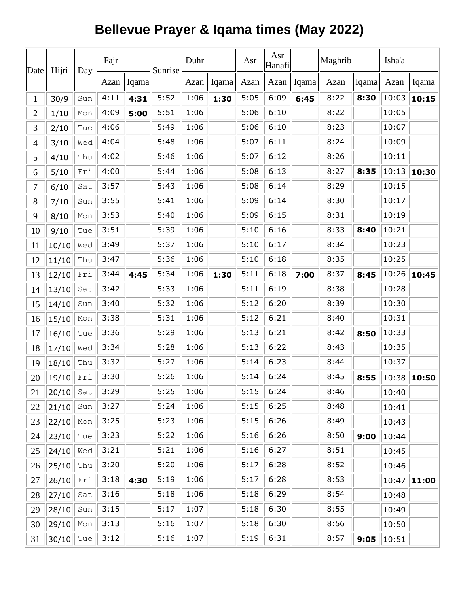## **Bellevue Prayer & Iqama times (May 2022)**

| Date                     | Hijri | Day | Fajr |              | Sunrise | Duhr |               | Asr  | Asr<br>Hanafi |               | Maghrib |            | Isha'a |       |
|--------------------------|-------|-----|------|--------------|---------|------|---------------|------|---------------|---------------|---------|------------|--------|-------|
|                          |       |     |      | Azan   Iqama |         |      | Azan    Iqama | Azan |               | Azan    Iqama | Azan    | Iqama Azan |        | Iqama |
| $\mathbf{1}$             | 30/9  | Sun | 4:11 | 4:31         | 5:52    | 1:06 | 1:30          | 5:05 | 6:09          | 6:45          | 8:22    | 8:30       | 10:03  | 10:15 |
| $\overline{2}$           | 1/10  | Mon | 4:09 | 5:00         | 5:51    | 1:06 |               | 5:06 | 6:10          |               | 8:22    |            | 10:05  |       |
| 3                        | 2/10  | Tue | 4:06 |              | 5:49    | 1:06 |               | 5:06 | 6:10          |               | 8:23    |            | 10:07  |       |
| $\overline{\mathcal{A}}$ | 3/10  | Wed | 4:04 |              | 5:48    | 1:06 |               | 5:07 | 6:11          |               | 8:24    |            | 10:09  |       |
| 5                        | 4/10  | Thu | 4:02 |              | 5:46    | 1:06 |               | 5:07 | 6:12          |               | 8:26    |            | 10:11  |       |
| 6                        | 5/10  | Fri | 4:00 |              | 5:44    | 1:06 |               | 5:08 | 6:13          |               | 8:27    | 8:35       | 10:13  | 10:30 |
| 7                        | 6/10  | Sat | 3:57 |              | 5:43    | 1:06 |               | 5:08 | 6:14          |               | 8:29    |            | 10:15  |       |
| 8                        | 7/10  | Sun | 3:55 |              | 5:41    | 1:06 |               | 5:09 | 6:14          |               | 8:30    |            | 10:17  |       |
| 9                        | 8/10  | Mon | 3:53 |              | 5:40    | 1:06 |               | 5:09 | 6:15          |               | 8:31    |            | 10:19  |       |
| 10                       | 9/10  | Tue | 3:51 |              | 5:39    | 1:06 |               | 5:10 | 6:16          |               | 8:33    | 8:40       | 10:21  |       |
| 11                       | 10/10 | Wed | 3:49 |              | 5:37    | 1:06 |               | 5:10 | 6:17          |               | 8:34    |            | 10:23  |       |
| 12                       | 11/10 | Thu | 3:47 |              | 5:36    | 1:06 |               | 5:10 | 6:18          |               | 8:35    |            | 10:25  |       |
| 13                       | 12/10 | Fri | 3:44 | 4:45         | 5:34    | 1:06 | 1:30          | 5:11 | 6:18          | 7:00          | 8:37    | 8:45       | 10:26  | 10:45 |
| 14                       | 13/10 | Sat | 3:42 |              | 5:33    | 1:06 |               | 5:11 | 6:19          |               | 8:38    |            | 10:28  |       |
| 15                       | 14/10 | Sun | 3:40 |              | 5:32    | 1:06 |               | 5:12 | 6:20          |               | 8:39    |            | 10:30  |       |
| 16                       | 15/10 | Mon | 3:38 |              | 5:31    | 1:06 |               | 5:12 | 6:21          |               | 8:40    |            | 10:31  |       |
| 17                       | 16/10 | Tue | 3:36 |              | 5:29    | 1:06 |               | 5:13 | 6:21          |               | 8:42    | 8:50       | 10:33  |       |
| 18                       | 17/10 | Wed | 3:34 |              | 5:28    | 1:06 |               | 5:13 | 6:22          |               | 8:43    |            | 10:35  |       |
| 19                       | 18/10 | Thu | 3:32 |              | 5:27    | 1:06 |               | 5:14 | 6:23          |               | 8:44    |            | 10:37  |       |
| 20                       | 19/10 | Fri | 3:30 |              | 5:26    | 1:06 |               | 5:14 | 6:24          |               | 8:45    | 8:55       | 10:38  | 10:50 |
| 21                       | 20/10 | Sat | 3:29 |              | 5:25    | 1:06 |               | 5:15 | 6:24          |               | 8:46    |            | 10:40  |       |
| 22                       | 21/10 | Sun | 3:27 |              | 5:24    | 1:06 |               | 5:15 | 6:25          |               | 8:48    |            | 10:41  |       |
| 23                       | 22/10 | Mon | 3:25 |              | 5:23    | 1:06 |               | 5:15 | 6:26          |               | 8:49    |            | 10:43  |       |
| 24                       | 23/10 | Tue | 3:23 |              | 5:22    | 1:06 |               | 5:16 | 6:26          |               | 8:50    | 9:00       | 10:44  |       |
| 25                       | 24/10 | Wed | 3:21 |              | 5:21    | 1:06 |               | 5:16 | 6:27          |               | 8:51    |            | 10:45  |       |
| 26                       | 25/10 | Thu | 3:20 |              | 5:20    | 1:06 |               | 5:17 | 6:28          |               | 8:52    |            | 10:46  |       |
| 27                       | 26/10 | Fri | 3:18 | 4:30         | 5:19    | 1:06 |               | 5:17 | 6:28          |               | 8:53    |            | 10:47  | 11:00 |
| 28                       | 27/10 | Sat | 3:16 |              | 5:18    | 1:06 |               | 5:18 | 6:29          |               | 8:54    |            | 10:48  |       |
| 29                       | 28/10 | Sun | 3:15 |              | 5:17    | 1:07 |               | 5:18 | 6:30          |               | 8:55    |            | 10:49  |       |
| 30                       | 29/10 | Mon | 3:13 |              | 5:16    | 1:07 |               | 5:18 | 6:30          |               | 8:56    |            | 10:50  |       |
| 31                       | 30/10 | Tue | 3:12 |              | 5:16    | 1:07 |               | 5:19 | 6:31          |               | 8:57    | 9:05       | 10:51  |       |